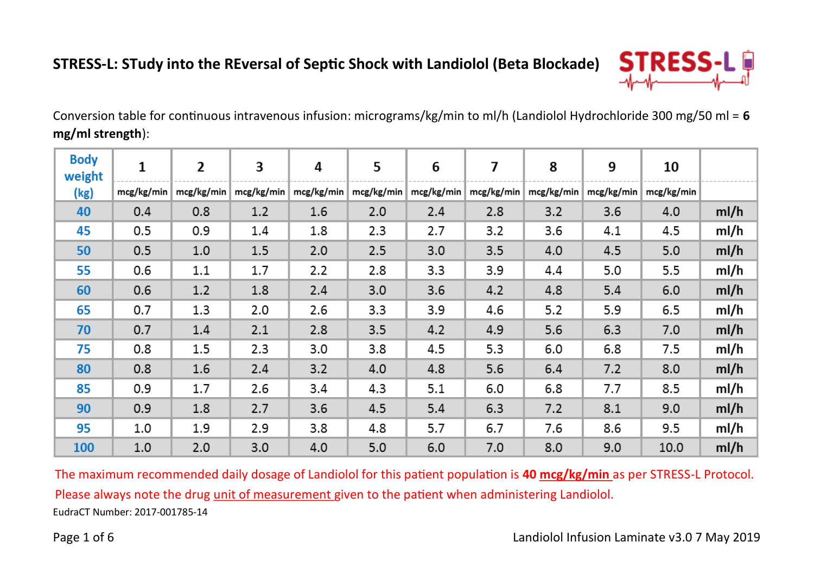

Conversion table for continuous intravenous infusion: micrograms/kg/min to ml/h (Landiolol Hydrochloride 300 mg/50 ml = **6 mg/ml strength**):

| <b>Body</b><br>weight | 1          | $\overline{2}$ | 3          | 4          | 5          | 6          | 7          | 8          | 9          | 10         |      |
|-----------------------|------------|----------------|------------|------------|------------|------------|------------|------------|------------|------------|------|
| (kg)                  | mcg/kg/min | mcg/kg/min     | mcg/kg/min | mcg/kg/min | mcg/kg/min | mcg/kg/min | mcg/kg/min | mcg/kg/min | mcg/kg/min | mcg/kg/min |      |
| 40                    | 0.4        | 0.8            | 1.2        | 1.6        | 2.0        | 2.4        | 2.8        | 3.2        | 3.6        | 4.0        | ml/h |
| 45                    | 0.5        | 0.9            | 1.4        | 1.8        | 2.3        | 2.7        | 3.2        | 3.6        | 4.1        | 4.5        | ml/h |
| 50                    | 0.5        | 1.0            | 1.5        | 2.0        | 2.5        | 3.0        | 3.5        | 4.0        | 4.5        | 5.0        | ml/h |
| 55                    | 0.6        | $1.1\,$        | 1.7        | 2.2        | 2.8        | 3.3        | 3.9        | 4.4        | 5.0        | 5.5        | ml/h |
| 60                    | 0.6        | 1.2            | 1.8        | 2.4        | 3.0        | 3.6        | 4.2        | 4.8        | 5.4        | 6.0        | ml/h |
| 65                    | 0.7        | 1.3            | 2.0        | 2.6        | 3.3        | 3.9        | 4.6        | 5.2        | 5.9        | 6.5        | ml/h |
| 70                    | 0.7        | 1.4            | 2.1        | 2.8        | 3.5        | 4.2        | 4.9        | 5.6        | 6.3        | 7.0        | ml/h |
| 75                    | 0.8        | 1.5            | 2.3        | 3.0        | 3.8        | 4.5        | 5.3        | 6.0        | 6.8        | 7.5        | ml/h |
| 80                    | 0.8        | 1.6            | 2.4        | 3.2        | 4.0        | 4.8        | 5.6        | 6.4        | 7.2        | 8.0        | ml/h |
| 85                    | 0.9        | 1.7            | 2.6        | 3.4        | 4.3        | 5.1        | 6.0        | 6.8        | 7.7        | 8.5        | ml/h |
| 90                    | 0.9        | 1.8            | 2.7        | 3.6        | 4.5        | 5.4        | 6.3        | 7.2        | 8.1        | 9.0        | ml/h |
| 95                    | 1.0        | 1.9            | 2.9        | 3.8        | 4.8        | 5.7        | 6.7        | 7.6        | 8.6        | 9.5        | ml/h |
| 100                   | 1.0        | 2.0            | 3.0        | 4.0        | 5.0        | 6.0        | 7.0        | 8.0        | 9.0        | 10.0       | ml/h |

EudraCT Number: 2017-001785-14 The maximum recommended daily dosage of Landiolol for this patient population is **40 mcg/kg/min** as per STRESS-L Protocol. Please always note the drug unit of measurement given to the patient when administering Landiolol.

Page 1 of 6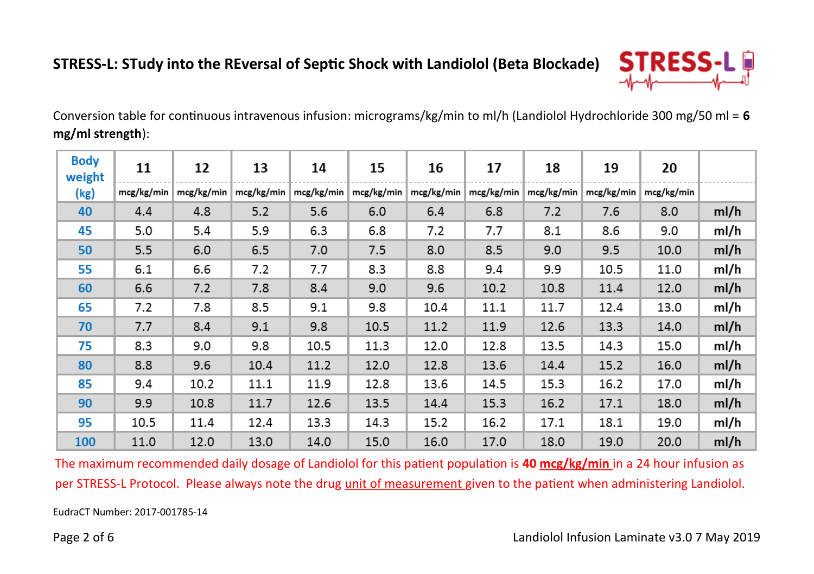

Conversion table for continuous intravenous infusion: micrograms/kg/min to ml/h (Landiolol Hydrochloride 300 mg/50 ml = **6 mg/ml strength**):

| <b>Body</b><br>weight | 11         | 12         | 13         | 14         | 15         | 16         | 17         | 18         | 19         | 20         |      |
|-----------------------|------------|------------|------------|------------|------------|------------|------------|------------|------------|------------|------|
| (kg)                  | mcg/kg/min | mcg/kg/min | mcg/kg/min | mcg/kg/min | mcg/kg/min | mcg/kg/min | mcg/kg/min | mcg/kg/min | mcg/kg/min | mcg/kg/min |      |
| 40                    | 4.4        | 4.8        | 5.2        | 5.6        | 6.0        | 6.4        | 6.8        | 7.2        | 7.6        | 8.0        | ml/h |
| 45                    | 5.0        | 5.4        | 5.9        | 6.3        | 6.8        | 7.2        | 7.7        | 8.1        | 8.6        | 9.0        | ml/h |
| 50                    | 5.5        | 6.0        | 6.5        | 7.0        | 7.5        | 8.0        | 8.5        | 9.0        | 9.5        | 10.0       | ml/h |
| 55                    | 6.1        | 6.6        | 7.2        | 7.7        | 8.3        | 8.8        | 9.4        | 9.9        | 10.5       | 11.0       | ml/h |
| 60                    | 6.6        | 7.2        | 7.8        | 8.4        | 9.0        | 9.6        | 10.2       | 10.8       | 11.4       | 12.0       | ml/h |
| 65                    | 7.2        | 7.8        | 8.5        | 9.1        | 9.8        | 10.4       | 11.1       | 11.7       | 12.4       | 13.0       | ml/h |
| 70                    | 7.7        | 8.4        | 9.1        | 9.8        | 10.5       | 11.2       | 11.9       | 12.6       | 13.3       | 14.0       | ml/h |
| 75                    | 8.3        | 9.0        | 9.8        | 10.5       | 11.3       | 12.0       | 12.8       | 13.5       | 14.3       | 15.0       | ml/h |
| 80                    | 8.8        | 9.6        | 10.4       | 11.2       | 12.0       | 12.8       | 13.6       | 14.4       | 15.2       | 16.0       | ml/h |
| 85                    | 9.4        | 10.2       | 11.1       | 11.9       | 12.8       | 13.6       | 14.5       | 15.3       | 16.2       | 17.0       | ml/h |
| 90                    | 9.9        | 10.8       | 11.7       | 12.6       | 13.5       | 14.4       | 15.3       | 16.2       | 17.1       | 18.0       | ml/h |
| 95                    | 10.5       | 11.4       | 12.4       | 13.3       | 14.3       | 15.2       | 16.2       | 17.1       | 18.1       | 19.0       | ml/h |
| 100                   | 11.0       | 12.0       | 13.0       | 14.0       | 15.0       | 16.0       | 17.0       | 18.0       | 19.0       | 20.0       | ml/h |

The maximum recommended daily dosage of Landiolol for this patient population is **40 mcg/kg/min** in a 24 hour infusion as per STRESS-L Protocol. Please always note the drug unit of measurement given to the patient when administering Landiolol.

EudraCT Number: 2017-001785-14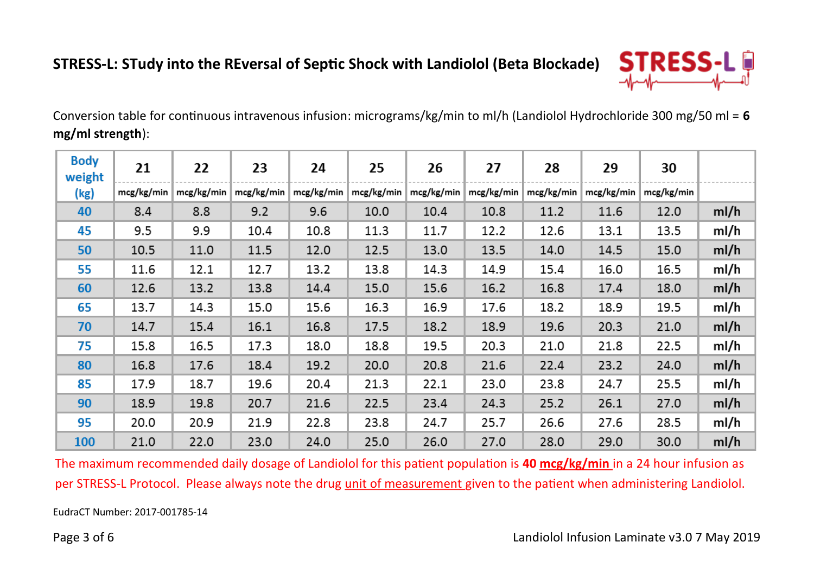

Conversion table for continuous intravenous infusion: micrograms/kg/min to ml/h (Landiolol Hydrochloride 300 mg/50 ml = **6 mg/ml strength**):

| <b>Body</b><br>weight | 21         | 22         | 23         | 24         | 25         | 26         | 27         | 28         | 29         | 30         |      |
|-----------------------|------------|------------|------------|------------|------------|------------|------------|------------|------------|------------|------|
| (kg)                  | mcg/kg/min | mcg/kg/min | mcg/kg/min | mcg/kg/min | mcg/kg/min | mcg/kg/min | mcg/kg/min | mcg/kg/min | mcg/kg/min | mcg/kg/min |      |
| 40                    | 8.4        | 8.8        | 9.2        | 9.6        | 10.0       | 10.4       | 10.8       | 11.2       | 11.6       | 12.0       | ml/h |
| 45                    | 9.5        | 9.9        | 10.4       | 10.8       | 11.3       | 11.7       | 12.2       | 12.6       | 13.1       | 13.5       | ml/h |
| 50                    | 10.5       | 11.0       | 11.5       | 12.0       | 12.5       | 13.0       | 13.5       | 14.0       | 14.5       | 15.0       | ml/h |
| 55                    | 11.6       | 12.1       | 12.7       | 13.2       | 13.8       | 14.3       | 14.9       | 15.4       | 16.0       | 16.5       | ml/h |
| 60                    | 12.6       | 13.2       | 13.8       | 14.4       | 15.0       | 15.6       | 16.2       | 16.8       | 17.4       | 18.0       | ml/h |
| 65                    | 13.7       | 14.3       | 15.0       | 15.6       | 16.3       | 16.9       | 17.6       | 18.2       | 18.9       | 19.5       | ml/h |
| 70                    | 14.7       | 15.4       | 16.1       | 16.8       | 17.5       | 18.2       | 18.9       | 19.6       | 20.3       | 21.0       | ml/h |
| 75                    | 15.8       | 16.5       | 17.3       | 18.0       | 18.8       | 19.5       | 20.3       | 21.0       | 21.8       | 22.5       | ml/h |
| 80                    | 16.8       | 17.6       | 18.4       | 19.2       | 20.0       | 20.8       | 21.6       | 22.4       | 23.2       | 24.0       | ml/h |
| 85                    | 17.9       | 18.7       | 19.6       | 20.4       | 21.3       | 22.1       | 23.0       | 23.8       | 24.7       | 25.5       | ml/h |
| 90                    | 18.9       | 19.8       | 20.7       | 21.6       | 22.5       | 23.4       | 24.3       | 25.2       | 26.1       | 27.0       | ml/h |
| 95                    | 20.0       | 20.9       | 21.9       | 22.8       | 23.8       | 24.7       | 25.7       | 26.6       | 27.6       | 28.5       | ml/h |
| 100                   | 21.0       | 22.0       | 23.0       | 24.0       | 25.0       | 26.0       | 27.0       | 28.0       | 29.0       | 30.0       | ml/h |

The maximum recommended daily dosage of Landiolol for this patient population is **40 mcg/kg/min** in a 24 hour infusion as per STRESS-L Protocol. Please always note the drug unit of measurement given to the patient when administering Landiolol.

EudraCT Number: 2017-001785-14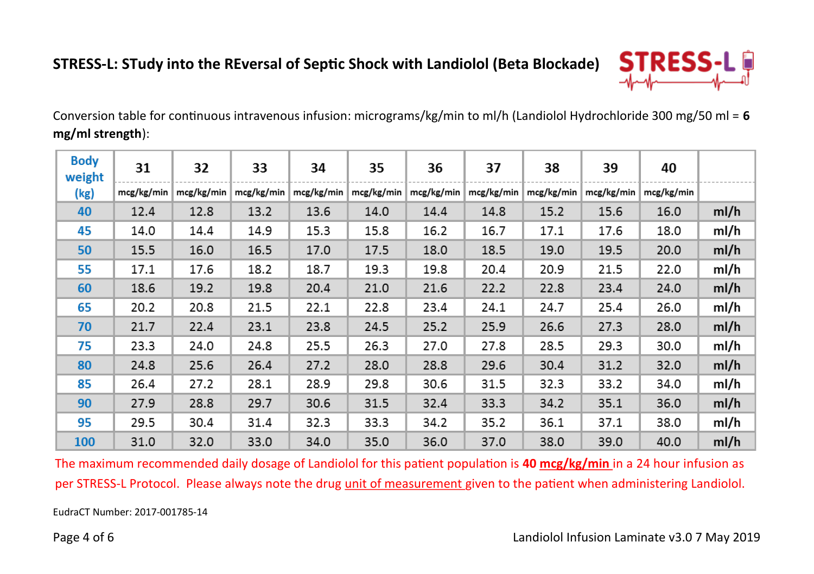

Conversion table for continuous intravenous infusion: micrograms/kg/min to ml/h (Landiolol Hydrochloride 300 mg/50 ml = **6 mg/ml strength**):

| <b>Body</b><br>weight | 31         | 32         | 33         | 34         | 35         | 36         | 37         | 38         | 39         | 40         |      |
|-----------------------|------------|------------|------------|------------|------------|------------|------------|------------|------------|------------|------|
| (kg)                  | mcg/kg/min | mcg/kg/min | mcg/kg/min | mcg/kg/min | mcg/kg/min | mcg/kg/min | mcg/kg/min | mcg/kg/min | mcg/kg/min | mcg/kg/min |      |
| 40                    | 12.4       | 12.8       | 13.2       | 13.6       | 14.0       | 14.4       | 14.8       | 15.2       | 15.6       | 16.0       | ml/h |
| 45                    | 14.0       | 14.4       | 14.9       | 15.3       | 15.8       | 16.2       | 16.7       | 17.1       | 17.6       | 18.0       | ml/h |
| 50                    | 15.5       | 16.0       | 16.5       | 17.0       | 17.5       | 18.0       | 18.5       | 19.0       | 19.5       | 20.0       | ml/h |
| 55                    | 17.1       | 17.6       | 18.2       | 18.7       | 19.3       | 19.8       | 20.4       | 20.9       | 21.5       | 22.0       | ml/h |
| 60                    | 18.6       | 19.2       | 19.8       | 20.4       | 21.0       | 21.6       | 22.2       | 22.8       | 23.4       | 24.0       | ml/h |
| 65                    | 20.2       | 20.8       | 21.5       | 22.1       | 22.8       | 23.4       | 24.1       | 24.7       | 25.4       | 26.0       | ml/h |
| 70                    | 21.7       | 22.4       | 23.1       | 23.8       | 24.5       | 25.2       | 25.9       | 26.6       | 27.3       | 28.0       | ml/h |
| 75                    | 23.3       | 24.0       | 24.8       | 25.5       | 26.3       | 27.0       | 27.8       | 28.5       | 29.3       | 30.0       | ml/h |
| 80                    | 24.8       | 25.6       | 26.4       | 27.2       | 28.0       | 28.8       | 29.6       | 30.4       | 31.2       | 32.0       | ml/h |
| 85                    | 26.4       | 27.2       | 28.1       | 28.9       | 29.8       | 30.6       | 31.5       | 32.3       | 33.2       | 34.0       | ml/h |
| 90                    | 27.9       | 28.8       | 29.7       | 30.6       | 31.5       | 32.4       | 33.3       | 34.2       | 35.1       | 36.0       | ml/h |
| 95                    | 29.5       | 30.4       | 31.4       | 32.3       | 33.3       | 34.2       | 35.2       | 36.1       | 37.1       | 38.0       | ml/h |
| 100                   | 31.0       | 32.0       | 33.0       | 34.0       | 35.0       | 36.0       | 37.0       | 38.0       | 39.0       | 40.0       | ml/h |

The maximum recommended daily dosage of Landiolol for this patient population is **40 mcg/kg/min** in a 24 hour infusion as per STRESS-L Protocol. Please always note the drug unit of measurement given to the patient when administering Landiolol.

EudraCT Number: 2017-001785-14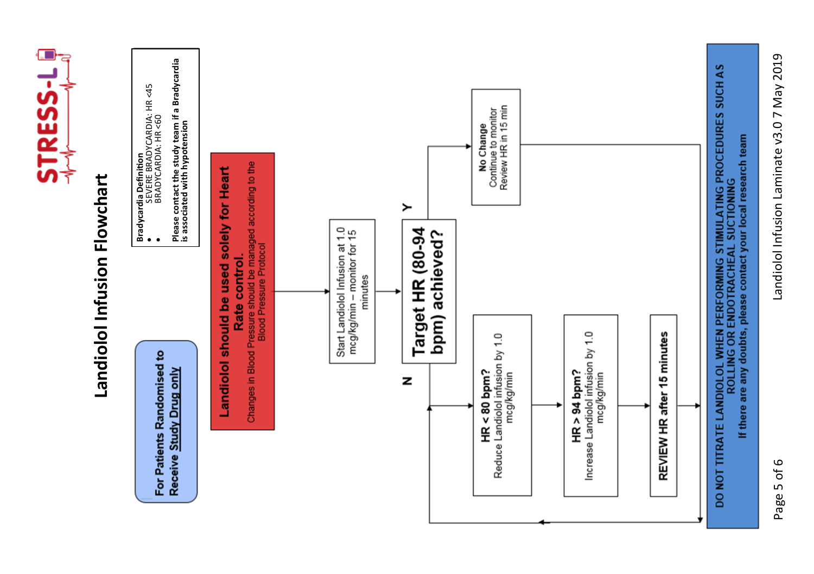

Landiolol Infusion Laminate v3.07 May 2019 Landiolol Infusion Laminate v3.0 7 May 2019

Page 5 of 6 Page 5 of 6